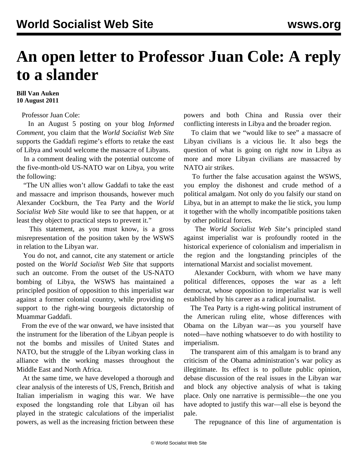## **An open letter to Professor Juan Cole: A reply to a slander**

## **Bill Van Auken 10 August 2011**

Professor Juan Cole:

 In an August 5 posting on your blog *Informed Comment*, you claim that the *World Socialist Web Site* supports the Gaddafi regime's efforts to retake the east of Libya and would welcome the massacre of Libyans.

 In a comment dealing with the potential outcome of the five-month-old US-NATO war on Libya, you write the following:

 "The UN allies won't allow Gaddafi to take the east and massacre and imprison thousands, however much Alexander Cockburn, the Tea Party and the *World Socialist Web Site* would like to see that happen, or at least they object to practical steps to prevent it."

 This statement, as you must know, is a gross misrepresentation of the position taken by the WSWS in relation to the Libyan war.

 You do not, and cannot, cite any statement or article posted on the *World Socialist Web Site* that supports such an outcome. From the outset of the US-NATO bombing of Libya, the WSWS has maintained a principled position of opposition to this imperialist war against a former colonial country, while providing no support to the right-wing bourgeois dictatorship of Muammar Gaddafi.

 From the eve of the war onward, we have insisted that the instrument for the liberation of the Libyan people is not the bombs and missiles of United States and NATO, but the struggle of the Libyan working class in alliance with the working masses throughout the Middle East and North Africa.

 At the same time, we have developed a thorough and clear analysis of the interests of US, French, British and Italian imperialism in waging this war. We have exposed the longstanding role that Libyan oil has played in the strategic calculations of the imperialist powers, as well as the increasing friction between these powers and both China and Russia over their conflicting interests in Libya and the broader region.

 To claim that we "would like to see" a massacre of Libyan civilians is a vicious lie. It also begs the question of what is going on right now in Libya as more and more Libyan civilians are massacred by NATO air strikes.

 To further the false accusation against the WSWS, you employ the dishonest and crude method of a political amalgam. Not only do you falsify our stand on Libya, but in an attempt to make the lie stick, you lump it together with the wholly incompatible positions taken by other political forces.

 The *World Socialist Web Site*'s principled stand against imperialist war is profoundly rooted in the historical experience of colonialism and imperialism in the region and the longstanding principles of the international Marxist and socialist movement.

 Alexander Cockburn, with whom we have many political differences, opposes the war as a left democrat, whose opposition to imperialist war is well established by his career as a radical journalist.

 The Tea Party is a right-wing political instrument of the American ruling elite, whose differences with Obama on the Libyan war—as you yourself have noted—have nothing whatsoever to do with hostility to imperialism.

 The transparent aim of this amalgam is to brand any criticism of the Obama administration's war policy as illegitimate. Its effect is to pollute public opinion, debase discussion of the real issues in the Libyan war and block any objective analysis of what is taking place. Only one narrative is permissible—the one you have adopted to justify this war—all else is beyond the pale.

The repugnance of this line of argumentation is